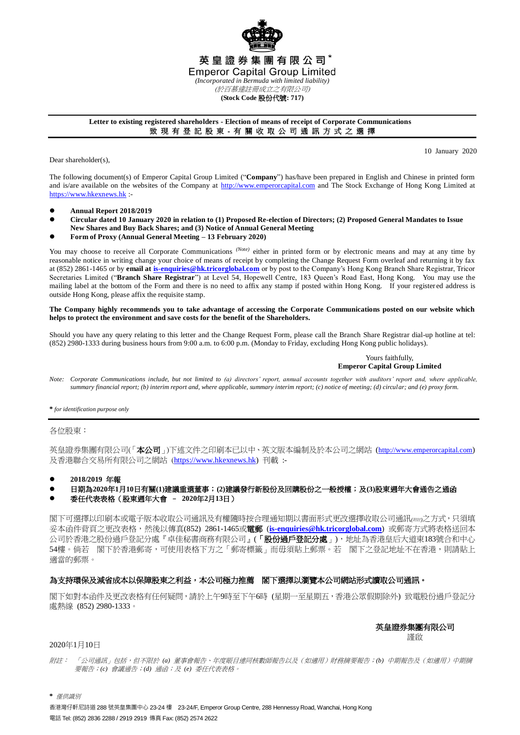

### **Letter to existing registered shareholders - Election of means of receipt of Corporate Communications** 致 現 有 登 記 股 東 - 有 關 收 取 公 司 通 訊 方 式 之 選 擇

Dear shareholder(s)

10 January 2020

The following document(s) of Emperor Capital Group Limited ("**Company**") has/have been prepared in English and Chinese in printed form and is/are available on the websites of the Company at [http://www.emperorcapital.com](http://www.emperorcapital.com/) and The Stock Exchange of Hong Kong Limited at [https://www.hkexnews.hk](https://www.hkexnews.hk/) :-

- **Annual Report 2018/2019**
- **Circular dated 10 January 2020 in relation to (1) Proposed Re-election of Directors; (2) Proposed General Mandates to Issue New Shares and Buy Back Shares; and (3) Notice of Annual General Meeting**
- **Form of Proxy (Annual General Meeting – 13 February 2020)**

You may choose to receive all Corporate Communications <sup>(Note)</sup> either in printed form or by electronic means and may at any time by reasonable notice in writing change your choice of means of receipt by completing the Change Request Form overleaf and returning it by fax at (852) 2861-1465 or by **email a[t is-enquiries@hk.tricorglobal.com](mailto:is-enquiries@hk.tricorglobal.com)** or by post to the Company's Hong Kong Branch Share Registrar, Tricor Secretaries Limited ("**Branch Share Registrar**") at Level 54, Hopewell Centre, 183 Queen's Road East, Hong Kong. You may use the mailing label at the bottom of the Form and there is no need to affix any stamp if posted within Hong Kong. If your register ed address is outside Hong Kong, please affix the requisite stamp.

### **The Company highly recommends you to take advantage of accessing the Corporate Communications posted on our website which helps to protect the environment and save costs for the benefit of the Shareholders.**

Should you have any query relating to this letter and the Change Request Form, please call the Branch Share Registrar dial-up hotline at tel: (852) 2980-1333 during business hours from 9:00 a.m. to 6:00 p.m. (Monday to Friday, excluding Hong Kong public holidays).

> Yours faithfully, **Emperor Capital Group Limited**

*Note: Corporate Communications include, but not limited to (a) directors' report, annual accounts together with auditors' report and, where applicable, summary financial report; (b) interim report and, where applicable, summary interim report; (c) notice of meeting; (d) circular; and (e) proxy form.*

**\*** *for identification purpose only*

各位股東:

英皇證券集團有限公司(「本公司」)下述文件之印刷本已以中、英文版本編制及於本公司之網站 (http://www.emperorcapital.com) 及香港聯合交易所有限公司之網站 ([https://www.hkexnews.hk\)](https://www.hkexnews.hk/) 刊載 :-

**2018/2019** 年報

- 日期為**2020**年**1**月**10**日有關**(1)**建議重選董事;**(2)**建議發行新股份及回購股份之一般授權;及**(3)**股東週年大會通告之通函
- 委任代表表格(股東週年大會 **2020**年**2**月**13**日)

閣下可選擇以印刷本或電子版本收取公司通訊及有權隨時按合理通知期以書面形式更改選擇收取公司通訊*(*附註*)*之方式,只須填 妥本函件背頁之更改表格,然後以傳真(852) 2861-1465或電郵 (**[is-enquiries@hk.tricorglobal.com](mailto:is-enquiries@hk.tricorglobal.com)**) 或郵寄方式將表格送回本 公司於香港之股份過戶登記分處『卓佳秘書商務有限公司』(「股份過戶登記分處」),地址為香港皇后大道東183號合和中心 54樓。倘若 閣下於香港郵寄,可使用表格下方之「郵寄標籤」而毋須貼上郵票。若 閣下之登記地址不在香港,則請貼上 適當的郵票。

## 為支持環保及減省成本以保障股東之利益,本公司極力推薦 閣下選擇以瀏覽本公司網站形式讀取公司通訊。

閣下如對本函件及更改表格有任何疑問,請於上午9時至下午6時 (星期一至星期五,香港公眾假期除外) 致電股份過戶登記分 處熱線 (852) 2980-1333。

> 英皇證券集團有限公司 謹啟

2020年1月10日

附註: 「公司通訊」包括,但不限於 *(a)* 董事會報告、年度賬目連同核數師報告以及(如適用)財務摘要報告;*(b)* 中期報告及(如適用)中期摘 要報告;*(c)* 會議通告;*(d)* 通函;及 *(e)* 委任代表表格。

**\*** 僅供識別